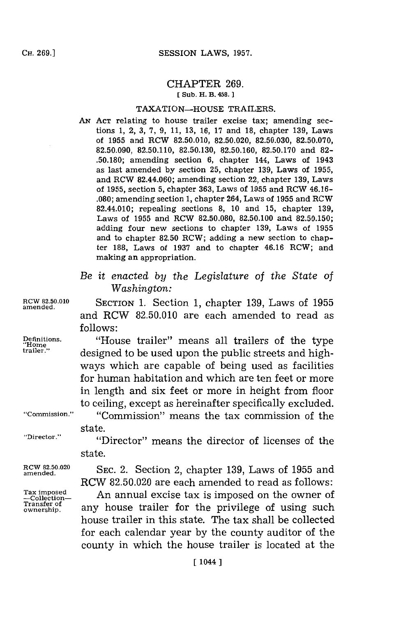### CHAPTER **269. [ Sub. H. B. 458.]**

# TAXATION-HOUSE TRAILERS.

- **AN ACT** relating to house trailer excise tax; amending sections **1,** 2, **3, 7, 9, 11, 13, 16, 17** and **18,** chapter **139,** Laws of **1955** and ROW **82.50.010, 82.50.020, 82.50.030, 82.50.070, 82.50.090, 82.50.110, 82.50.130, 82.50.160, 82.50.170** and **82- .50.180;** amending section **6,** chapter 144, Laws of 1943 as last amended **by** section **25,** chapter **139,** Laws of **1955,** and RCW 82.44.060; amending section 22, chapter **139,** Laws of **1955,** section **5,** chapter **363,** Laws of **1955** and ROW 46.16- **.080;** amending section **1,** chapter 264, Laws of **1955** and ROW 82.44.010; repealing sections **8, 10** and **15,** chapter **139,** Laws of **1955** and ROW **82.50.080, 82.50.100** and **82.50.150;** adding four new sections to chapter **139,** Laws of **1955** and to chapter **82.50** ROW; adding a new section to chapter **188,** Laws of **1937** and to chapter 46.16 ROW; and making an appropriation.
- *Be it enacted by the Legislature of the State of Washington:*

**RCW 82.50.010** SECTION **1.** Section **1,** chapter **139,** Laws of **1955** and RCW **82.50.010** are each amended to read as **follows:**

**Definitions.** "House trailer" means all trailers of the type **'Home** designed to be used upon the public streets and highways which are capable of being used as facilities for human habitation and which are ten feet or more in length and six feet or more in height from floor to ceiling, except as hereinafter specifically excluded.

**"Commission."** "Commission"~ means the tax commission of the state.

**"Director."** "Director" means the director of licenses of the state.

RCW 82.50.020 **SEC. 2.** Section 2, chapter 139, Laws of 1955 and RCW **82.50.020** are each amended to read as follows:

Tax imposed **Ananael Collection- An** annual excise tax is Transfer of any house trailer for the privilege of using such house trailer in this state. The tax shall be collected for each calendar year **by** the county auditor of the county in which the house trailer is located at the

**amended.**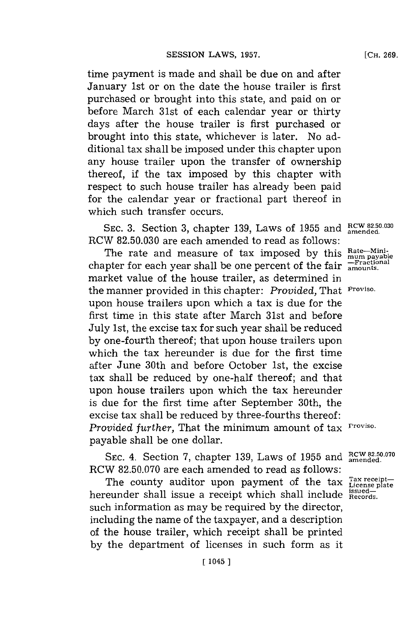time payment is made and shall be due on and after January 1st or on the date the house trailer is first purchased or brought into this state, and paid on or before March 31st of each calendar year or thirty days after the house trailer is first purchased or brought into this state, whichever is later. No additional tax shall be imposed under this chapter upon any house trailer upon the transfer of ownership thereof, if the tax imposed **by** this chapter with respect to such house trailer has already been paid for the calendar year or fractional part thereof in which such transfer occurs.

SEC. 3. Section 3, chapter 139, Laws of 1955 and  $_{\text{amended.}}^{\text{RCW 82.50.030}}$ RCW **82.50.030** are each amended to read as follows:

The rate and measure of tax imposed by this  $_{\text{mum payabl}}^{\text{Rate}-\text{Min}-}$ chapter for each year shall be one percent of the fair  $\frac{F}{\text{amol}}$ market value of the house trailer, as determined in the manner provided in this chapter: *Provided,* That **Proviso.** upon house trailers upon which a tax is due for the first time in this state after March 31st and before July 1st, the excise tax for such year shall be reduced **by** one-fourth thereof; that upon house trailers upon which the tax hereunder is due for the first time after June 30th and before October 1st, the excise tax shall be reduced **by** one-half thereof; and that upon house trailers upon which the tax hereunder is due for the first time after September 30th, the excise tax shall be reduced **by** three-fourths thereof: *Provided further,* That the minimum amount of tax **Proviso.** payable shall be one dollar.

SEC. 4. Section 7, chapter 139, Laws of 1955 and RCW 82.50.070 RCW **82.50.070** are each amended to read as follows:

The county auditor upon payment of the tax  $T_{\text{License plate}}^{\text{Tax receipt}-}$ hereunder shall issue a receipt which shall include  $R_{\text{records}}^{isued-}$ such information as may be required **by** the director, including the name of the taxpayer, and a description of the house trailer, which receipt shall be printed **by** the department of licenses in such form as it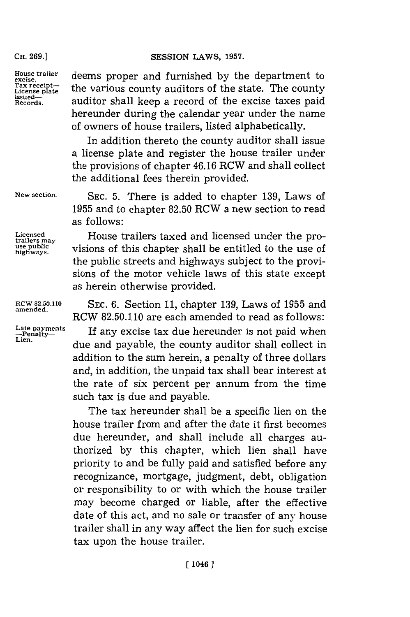# **CH. 69.]SESSION** LAWS, **1957.**

**CH. 269.]**

House trailer deems proper and furnished by the department to<br> **Example** Tax receipt<sup>t</sup> the various county auditors of the state. The county issued-<br> **Records.** auditor shall keep a record of the excise taxes paid auditor shall keep a record of the excise taxes paid hereunder during the calendar year under the name of owners of house trailers, listed alphabetically.

> In addition thereto the county auditor shall issue a license plate and register the house trailer under the provisions of chapter 46.16 RCW and shall collect the additional fees therein provided.

**New section.** SEC. **5.** There is added to chapter **139,** Laws of **1955** and to chapter **82.50** RCW a new section to read as follows:

Licensed **House trailers taxed and licensed under the pro-**<br>
trailers may use public visions of this chapter shall be entitled to the use of highways. visions of this chapter shall be entitled to the use of the public streets and highways subject to the provisions of the motor vehicle laws of this state except as herein otherwise provided.

**RCW 82.50.110 SEC. 6.** Section **11,** chapter **139,** Laws of **1955** and RCW **82.50.110** are each amended to read as follows:

> If any excise tax due hereunder is not paid when due and payable, the county auditor shall collect in addition to the sum herein, a penalty of three dollars and, in addition, the unpaid tax shall bear interest at the rate of six percent per annum. from the time such tax is due and payable.

> The tax hereunder shall be a specific lien on the house trailer from and after the date it first becomes due hereunder, and shall include all charges authorized **by** this chapter, which lien shall have priority to and be fully paid and satisfied before any recognizance, mortgage, judgment, debt, obligation or responsibility to or with which the house trailer may become charged or liable, after the effective date of this act, and no sale or transfer of any house trailer shall in any way affect the lien for such excise tax upon the house trailer.

**amended.**

**Late payments -Penalty-Lien.**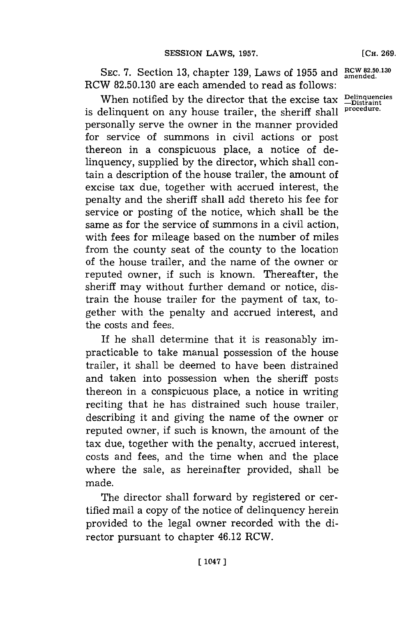SEC. 7. Section 13, chapter 139, Laws of 1955 and RCW 82.50.130 RCW **82.50.130** are each amended to read as follows:

When notified by the director that the excise tax  $\sum_{\text{Distrant}}^{\text{Deling}}$ is delinquent on any house trailer, the sheriff shall personally serve the owner in the manner provided for service of summons in civil actions or post thereon in a conspicuous place, a notice of delinquency, supplied **by** the director, which shall contain a description of the house trailer, the amount of excise tax due, together with accrued interest, the penalty and the sheriff shall add thereto his fee for service or posting of the notice, which shall be the same as for the service of summons in a civil action, with fees for mileage based on the number of miles from the county seat of the county to the location of the house trailer, and the name of the owner or reputed owner, if such is known. Thereafter, the sheriff may without further demand or notice, distrain the house trailer for the payment of tax, together with the penalty and accrued interest, and the costs and fees.

If he shall determine that it is reasonably impracticable to take manual possession of the house trailer, it shall be deemed to have been distrained and taken into possession when the sheriff posts thereon in a conspicuous place, a notice in writing reciting that he has distrained such house trailer, describing it and giving the name of the owner or reputed owner, if such is known, the amount of the tax due, together with the penalty, accrued interest, costs and fees, and the time when and the place where the sale, as hereinafter provided, shall be made.

The director shall forward **by** registered or certified mail a copy of the notice of delinquency herein provided to the legal owner recorded with the director pursuant to chapter 46.12 RCW.

**[CH. 269.**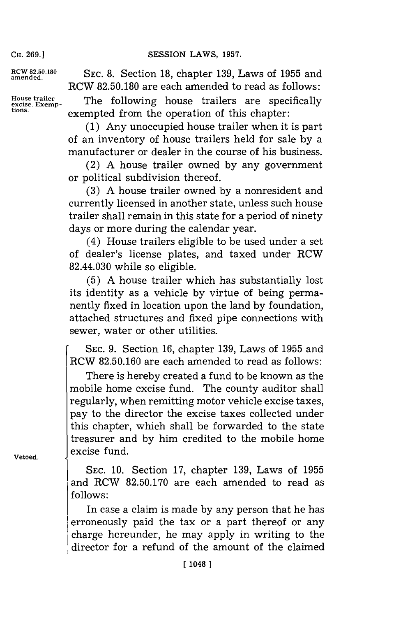**CH. 269.]**

**RCW 82.50.180 amended.**

**House trailer excise. Exemp- tions.**

**SEC. 8.** Section **18,** chapter **139,** Laws of **1955** and RCW **82.50.180** are each amended to read as follows:

The following house trailers are specifically exempted from the operation of this chapter:

**(1)** Any unoccupied house trailer when it is part of an inventory of house trailers held for sale **by** a manufacturer or dealer in the course of his business.

(2) **A** house trailer owned **by** any government or political subdivision thereof.

**(3) A** house trailer owned **by** a nonresident and currently licensed in another state, unless such house trailer shall remain in this state for a period of ninety days or more during the calendar year.

(4) House trailers eligible to be used under a set of dealer's license plates, and taxed under RCW 82.44.030 while so eligible.

**(5) A** house trailer which has substantially lost its identity as a vehicle **by** virtue of being permanently fixed in location upon the land **by** foundation, attached structures and fixed pipe connections with sewer, water or other utilities.

6 SEc. **9.** Section **16,** chapter **139,** Laws of **1955** and CW **82.50.160** are each amended to read as follows:

There is hereby created a fund to be known as the mobile home excise fund. The county auditor shall regularly, when remitting motor vehicle excise taxes, pay to the director the excise taxes collected under this chapter, which shall be forwarded to the state treasurer and **by** him credited to the mobile home excise fund.

**SEC. 10.** Section **17,** chapter **139,** Laws of **1955** and RCW **82.50.170** are each amended to read as **follows:**

In case a claim is made **by** any person that he has erroneously paid the tax or a part thereof or any charge hereunder, he may apply in writing to the director for a refund of the amount of the claimed

**Vetoed.**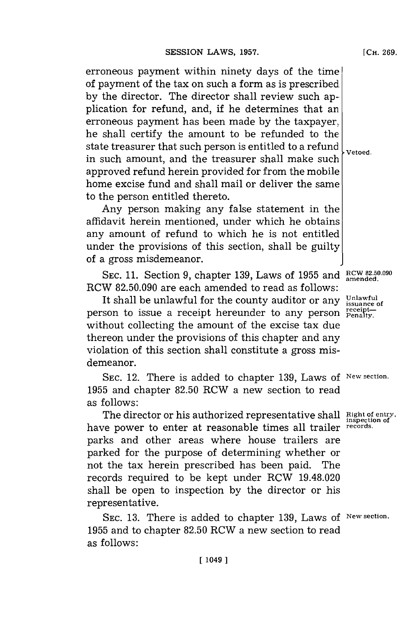erroneous payment within ninety days of the time of payment of the tax on such a form as is prescribed **by** the director. The director shall review such application for refund, and, if he determines that an erroneous payment has been made **by** the taxpayer, he shall certify the amount to be refunded to the state treasurer that such person is entitled to a refund  $\bigcup_{\text{vetoed}}$ in such amount, and the treasurer shall make such approved refund herein provided for from the mobile home excise fund and shall mail or deliver the same to the person entitled thereto.

Any person making any false statement in the affidavit herein mentioned, under which he obtains any amount of refund to which he is not entitled under the provisions of this section, shall be guilty of a gross misdemeanor.

**SEC. 11.** Section **9,** chapter **139,** Laws of **1955** and RC **82.50.090** RCW **82.50.090** are each amended to read as follows:

It shall be unlawful for the county auditor or any  $\frac{\text{Unlawful}}{\text{issuance of}}$ person to issue a receipt hereunder to any person  $P_{\text{penalty}}^{\text{receipt}}$ without collecting the amount of the excise tax due thereon under the provisions of this chapter and any violation of this section shall constitute a gross misdemeanor.

**SEC.** 12. There is added to chapter **139,** Laws of **New section. 1955** and chapter **82.50** RCW a new section to read as follows:

The director or his authorized representative shall **Right of entry,** have power to enter at reasonable times all trailer **records.** parks and other areas where house trailers are parked for the purpose of determining whether or not the tax herein prescribed has been paid. The records required to be kept under RCW 19.48.020 shall be open to inspection **by** the director or his representative.

SEC. **13.** There is added to chapter **139,** Laws of **New section. 1955** and to chapter **82.50** RCW a new section to read as follows: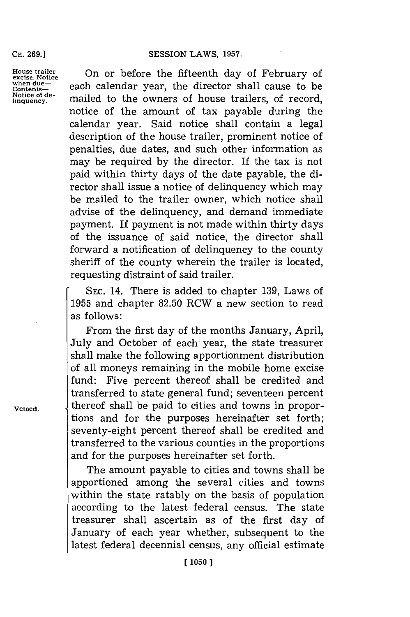#### **SESSION LAWS, 1957.**

**CH. 269.]**

**Notice of de-**<br>linquency.

House trailer **Onor before the fifteenth day of February o** House trailer **Contentional Content- Content- Content-** <br> **Contents- contents- each** calendar year, the director shall cause to be mailed to the owners of house trailers, of record, notice of the amount of tax payable during the calendar year. Said notice shall contain a legal description of the house trailer, prominent notice of penalties, due dates, and such other information as may be required **by** the director. If the tax is not paid within thirty days of the date payable, the director shall issue a notice of delinquency which may be mailed to the trailer owner, which notice shall advise of the delinquency, and demand immediate payment. If payment is not made within thirty days of the issuance of said notice, the director shall forward a notification of delinquency to the county sheriff of the county wherein the trailer is located, requesting distraint of said trailer.

> **SEC.** 14. There is added to chapter **139,** Laws of **1955** and chapter **82.50** RCW a new section to read as follows:

From the first day of the months January, April, July and October of each year, the state treasurer shall make the following apportionment distribution of all moneys remaining in the mobile home excise fund: Five percent thereof shall be credited and transferred to state general fund; seventeen percent **Vetoed. l** thereof shall be paid to cities and towns in proportions and for the purposes hereinafter set forth; seventy-eight percent thereof shall be credited and transferred to the various counties in the proportions and for the purposes hereinafter set forth.

> The amount payable to cities and towns shall be apportioned among the several cities and towns within the state ratably on the basis of population according to the latest federal census. The state treasurer shall ascertain as of the first day of January of each year whether, subsequent to the latest federal decennial census, any official estimate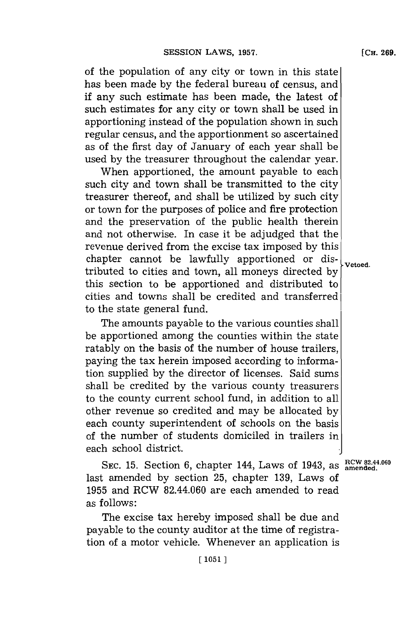of the population of any city or town in this state has been made **by** the federal bureau of census, and if any such estimate has been made, the latest of such estimates for any city or town shall be used in apportioning instead of the population shown in such regular census, and the apportionment so ascertained as of the first day of January of each year shall be used **by** the treasurer throughout the calendar year.

When apportioned, the amount payable to each such city and town shall be transmitted to the city treasurer thereof, and shall be utilized **by** such city or town for the purposes of police and fire protection and the preservation of the public health therein and not otherwise. In case it be adjudged that the revenue derived from the excise tax imposed **by** this chapter cannot be lawfully apportioned or dis- vetoed. tributed to cities and town, all moneys directed **by** this section to be apportioned and distributed to cities and towns shall be credited and transferred to the state general fund.

The amounts payable to the various counties shall be apportioned among the counties within the state ratably on the basis of the number of house trailers, paying the tax herein imposed according to information supplied **by** the director of licenses. Said sums shall be credited **by** the various county treasurers to the county current school fund, in addition to all other revenue so credited and may be allocated **by** each county superintendent of schools on the basis of the number of students domiciled in trailers in each school district.

SEC. 15. Section 6, chapter 144, Laws of 1943, as  $\frac{RCW82.44.060}{amended.}$ last amended **by** section **25,** chapter **139,** Laws of **1955** and RCW 82.44.060 are each amended to read as follows:

The excise tax hereby imposed shall be due and payable to the county auditor at the time of registration of a motor vehicle. Whenever an application is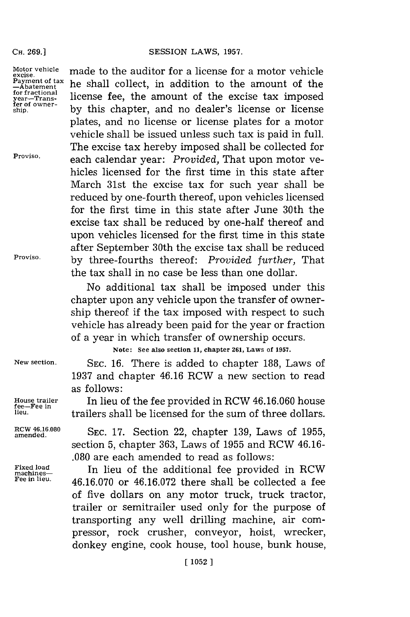#### SESSION LAWS, 1957.

**CH. 269.1**

Motor vehicle **made to the auditor for a license for a motor vehicle**<br>**Excise.**<br>**Payment of tax** he shall collect in addition to the amount of the Payment of tax he shall collect, in addition to the amount of the fractional statement of the amount of the careign for imposed for fractional license fee, the amount of the excise tax imposed  $\frac{1}{2}$  for  $\frac{1}{2}$  over**fer of owner- ship, by** this chapter, and no dealer's license or license plates, and no license or license plates for a motor vehicle shall be issued unless such tax is paid in full. The excise tax hereby imposed shall be collected for **Proviso,** each calendar year: *Provided,* That upon motor vehicles licensed for the first time in this state after March 31st the excise tax for such year shall be reduced **by** one-fourth thereof, upon vehicles licensed for the first time in this state after June 30th the excise tax shall be reduced **by** one-half thereof and upon vehicles licensed for the first time in this state after September 30th the excise tax shall be reduced **Proviso, by** three-fourths thereof: *Provided further,* That the tax shall in no case be less than one dollar.

> No additional tax shall be imposed under this chapter upon any vehicle upon the transfer of ownership thereof if the tax imposed with respect to such vehicle has already been paid for the year or fraction of a year in which transfer of ownership occurs.

> > **Note: See also section 11, chapter 261, Laws of 1957.**

**New section. SEC. 16.** There is added to chapter **188,** Laws of **1937** and chapter 46.16 RCW a new section to read as follows:

**Hiouse trailer** In lieu of the fee provided in RCW **46.16.060** house **latageers** shall be licensed for the sum of three dollars.

**amended. SEC. 17.** Section 22, chapter **139,** Laws of **1955,** section **5,** chapter **363,** Laws of **1955** and RCW 46.16- **.080** are each amended to read as follows:

Fixed load<br>machines-<br>Fee in lieu. **16 16 070 on 16 16 072** thene shell be collected a foo **Fee in Ieu. 46.16.070** or **46.16.072** there shall be collected a fee of five dollars on any motor truck, truck tractor, trailer or semitrailer used only for the purpose of transporting any well drilling machine, air compressor, rock crusher, conveyor, hoist, wrecker, donkey engine, cook house, tool house, bunk house,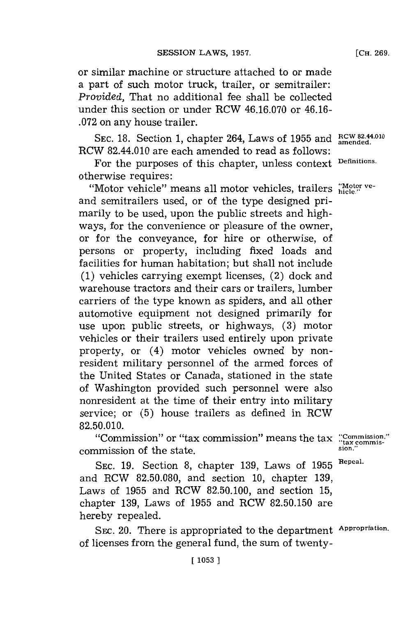or similar machine or structure attached to or made a part of such motor truck, trailer, or semitrailer: *Provided,* That no additional fee shall be collected under this section or under RCW **46.16.070** or 46.16- **.072** on any house trailer.

**SEC. 18.** Section **1,** chapter 264, Laws of **1955** and **RCW 82.14.010** RCW 82.44.010 are each amended to read as follows:

For the purposes of this chapter, unless context **Definitions.** otherwise requires:

"Motor vehicle" means all motor vehicles, trailers "Motor veand semitrailers used, or of the type designed primarily to be used, upon the public streets and highways, for the convenience or pleasure of the owner, or for the conveyance, for hire or otherwise, of persons or property, including fixed loads and facilities **for** human habitation; but shall not include **(1)** vehicles carrying exempt licenses, (2) dock and warehouse tractors and their cars or trailers, lumber carriers of the type known as spiders, and all other automotive equipment not designed primarily for use upon public streets, or highways, **(3)** motor vehicles or their trailers used entirely upon private property, or (4) motor vehicles owned **by** nonresident military personnel of the armed forces of the United States or Canada, stationed in the state of Washington provided such personnel were also nonresident at the time of their entry into military service; or **(5)** house trailers as defined in RCW **82.50.010.**

"'Commission"~ or "tax commission"~ means the tax **::Commission"** commission of the state. **Example 20** is the state.

**SEC. 19.** Section **8,** chapter **139,** Laws of **1955 Repeal.** and RCW **82.50.080,** and section **10,** chapter **139,** Laws of **1955** and RCW **82.50.100,** and section **15,** chapter **139,** Laws of **1955** and RCW **82.50.150** are hereby repealed.

**[ 1053**

SEC. 20. There is appropriated to the department **Appropriation.** of licenses from the general fund, the sum of twenty-

**[CH. 269.**